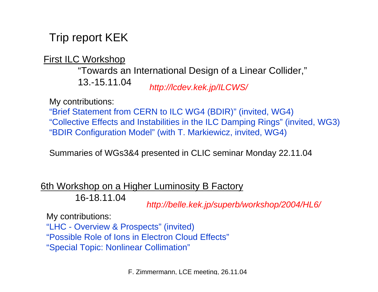## Trip report KEK

First ILC Workshop

*http://lcdev.kek.jp/ILCWS/* "Towards an International Design of a Linear Collider," 13.-15.11.04

My contributions:

"Brief Statement from CERN to ILC WG4 (BDIR)" (invited, WG4) "Collective Effects and Instabilities in the ILC Damping Rings" (invited, WG3) "BDIR Configuration Model" (with T. Markiewicz, invited, WG4)

Summaries of WGs3&4 presented in CLIC seminar Monday 22.11.04

6th Workshop on a Higher Luminosity B Factory

16-18.11.04

*http://belle.kek.jp/superb/workshop/2004/HL6/*

My contributions:

"LHC - Overview & Prospects" (invited) "Possible Role of Ions in Electron Cloud Effects""Special Topic: Nonlinear Collimation"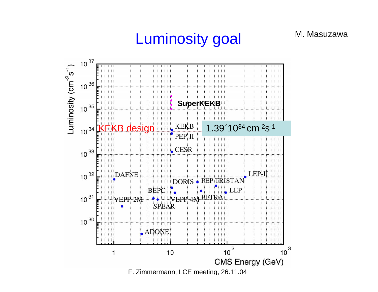# Luminosity goal

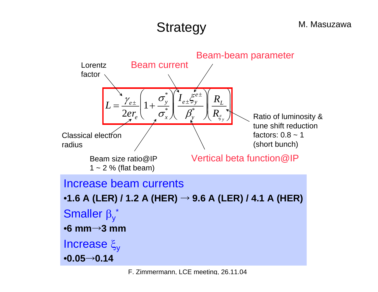#### M. Masuzawa

# **Strategy**

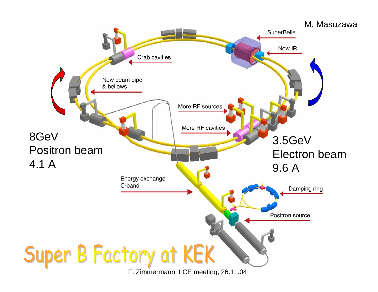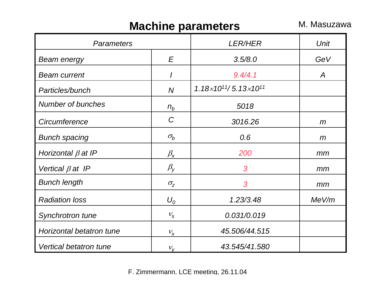### **Machine parameters** M. Masuzawa

| <b>Parameters</b>             |                      | <b>LER/HER</b>                             | <b>Unit</b> |
|-------------------------------|----------------------|--------------------------------------------|-------------|
| <b>Beam energy</b>            | E                    | 3.5/8.0                                    | GeV         |
| <b>Beam current</b>           | $\prime$             | 9.4/4.1                                    | A           |
| Particles/bunch               | $\overline{N}$       | $1.18\times10^{11}$ / 5.13 $\times10^{11}$ |             |
| <b>Number of bunches</b>      | $n_b$                | 5018                                       |             |
| Circumference                 | C                    | 3016.26                                    | m           |
| <b>Bunch spacing</b>          | $\sigma_b$           | 0.6                                        | m           |
| Horizontal $\beta$ at IP      | $\beta_{\mathsf{x}}$ | 200                                        | mm          |
| Vertical $\beta$ at IP        | $\beta_{\rm V}$      | 3                                          | mm          |
| <b>Bunch length</b>           | $\sigma_{z}$         | 3                                          | mm          |
| <b>Radiation loss</b>         | $U_0$                | 1.23/3.48                                  | MeV/m       |
| Synchrotron tune              | $V_{\rm S}$          | 0.031/0.019                                |             |
| Horizontal betatron tune      | $V_X$                | 45.506/44.515                              |             |
| <b>Vertical betatron tune</b> | $V_V$                | 43.545/41.580                              |             |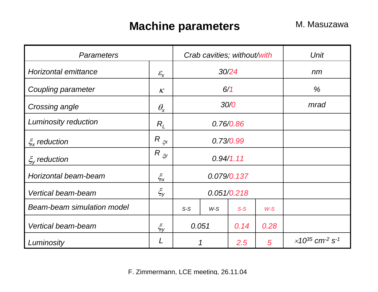### **Machine parameters** M. Masuzawa

| <b>Parameters</b>          |                            |             | Crab cavities; without/with |       |       | <b>Unit</b>                                                |
|----------------------------|----------------------------|-------------|-----------------------------|-------|-------|------------------------------------------------------------|
| Horizontal emittance       | $\mathcal{E}_{\mathsf{X}}$ | 30/24       |                             |       | nm    |                                                            |
| Coupling parameter         | K                          | 6/1         |                             |       | %     |                                                            |
| Crossing angle             | $\theta_{\mathsf{x}}$      | 30/0        |                             |       | mrad  |                                                            |
| Luminosity reduction       | $R_I$                      | 0.76/0.86   |                             |       |       |                                                            |
| $\zeta_{\rm x}$ reduction  | $R_{\xi x}$                | 0.73/0.99   |                             |       |       |                                                            |
| $\xi_{v}$ reduction        | $R$ $\zeta$                | 0.94/1.11   |                             |       |       |                                                            |
| Horizontal beam-beam       | $\xi_{x}$                  | 0.079/0.137 |                             |       |       |                                                            |
| Vertical beam-beam         | $\xi_{y}$                  | 0.051/0.218 |                             |       |       |                                                            |
| Beam-beam simulation model |                            | $S-S$       | $W-S$                       | $S-S$ | $W-S$ |                                                            |
| Vertical beam-beam         | $\xi_{y}$                  | 0.051       |                             | 0.14  | 0.28  |                                                            |
| Luminosity                 |                            | 1           |                             | 2.5   | 5     | $\times$ 10 <sup>35</sup> cm <sup>-2</sup> s <sup>-1</sup> |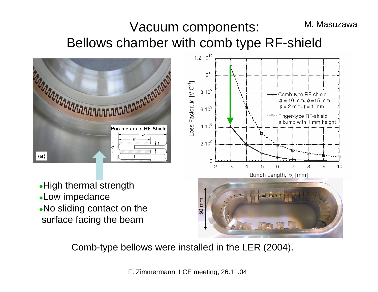### Vacuum components: Bellows chamber with comb type RF-shield M. Masuzawa



• High thermal strength **.Low impedance** . No sliding contact on the surface facing the beam



Comb-type bellows were installed in the LER (2004).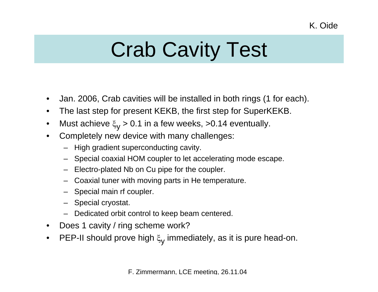# Crab Cavity Test

- $\bullet$ Jan. 2006, Crab cavities will be installed in both rings (1 for each).
- $\bullet$ The last step for present KEKB, the first step for SuperKEKB.
- •Must achieve  $\xi_{\rm V}$  > 0.1 in a few weeks, >0.14 eventually.
- • Completely new device with many challenges:
	- High gradient superconducting cavity.
	- Special coaxial HOM coupler to let accelerating mode escape.
	- –Electro-plated Nb on Cu pipe for the coupler.
	- –Coaxial tuner with moving parts in He temperature.
	- Special main rf coupler.
	- Special cryostat.
	- Dedicated orbit control to keep beam centered.
- $\bullet$ Does 1 cavity / ring scheme work?
- •PEP-II should prove high  $\xi_{\mathsf{y}}$  immediately, as it is pure head-on.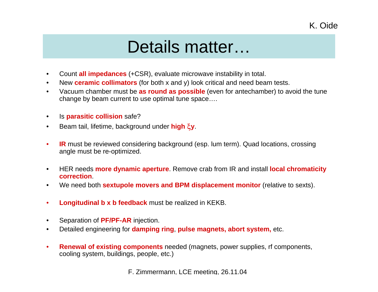# Details matter…

- $\bullet$ Count **all impedances** (+CSR), evaluate microwave instability in total.
- $\bullet$ New **ceramic collimators** (for both x and y) look critical and need beam tests.
- • Vacuum chamber must be **as round as possible** (even for antechamber) to avoid the tune change by beam current to use optimal tune space….
- $\bullet$ Is **parasitic collision** safe?
- $\bullet$ Beam tail, lifetime, background under **high** ξ**y**.
- $\bullet$  **IR** must be reviewed considering background (esp. lum term). Quad locations, crossing angle must be re-optimized.
- • HER needs **more dynamic aperture**. Remove crab from IR and install **local chromaticity correction**.
- $\bullet$ We need both **sextupole movers and BPM displacement monitor** (relative to sexts).
- •**Longitudinal b x b feedback** must be realized in KEKB.
- $\bullet$ Separation of **PF/PF-AR** injection.
- •Detailed engineering for **damping ring**, **pulse magnets, abort system,** etc.
- $\bullet$  **Renewal of existing components** needed (magnets, power supplies, rf components, cooling system, buildings, people, etc.)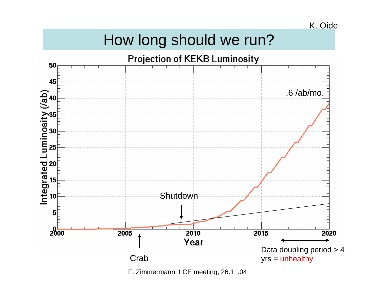### K. Oide

# How long should we run?

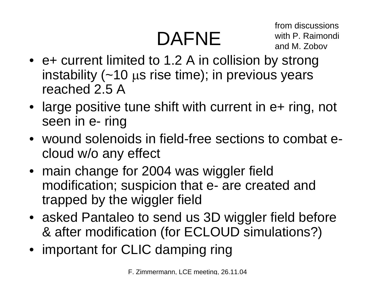# DAFNE

from discussionswith P. Raimondi and M. Zobov

- e+ current limited to 1.2 A in collision by strong instability  $(-10 \mu s \text{ rise time})$ ; in previous years reached 2.5 A
- large positive tune shift with current in e+ ring, not seen in e- ring
- wound solenoids in field-free sections to combat ecloud w/o any effect
- main change for 2004 was wiggler field modification; suspicion that e- are created and trapped by the wiggler field
- asked Pantaleo to send us 3D wiggler field before & after modification (for ECLOUD simulations?)
- important for CLIC damping ring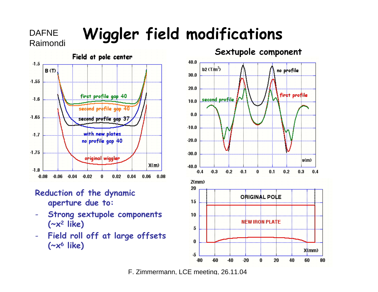# DAFNE **Wiggler field modifications**



DAFNE

### **Reduction of the dynamic aperture due to:**

- **Strong sextupole components (~x 2 like)**
- **Field roll off at large offsets (~x 6 like)**